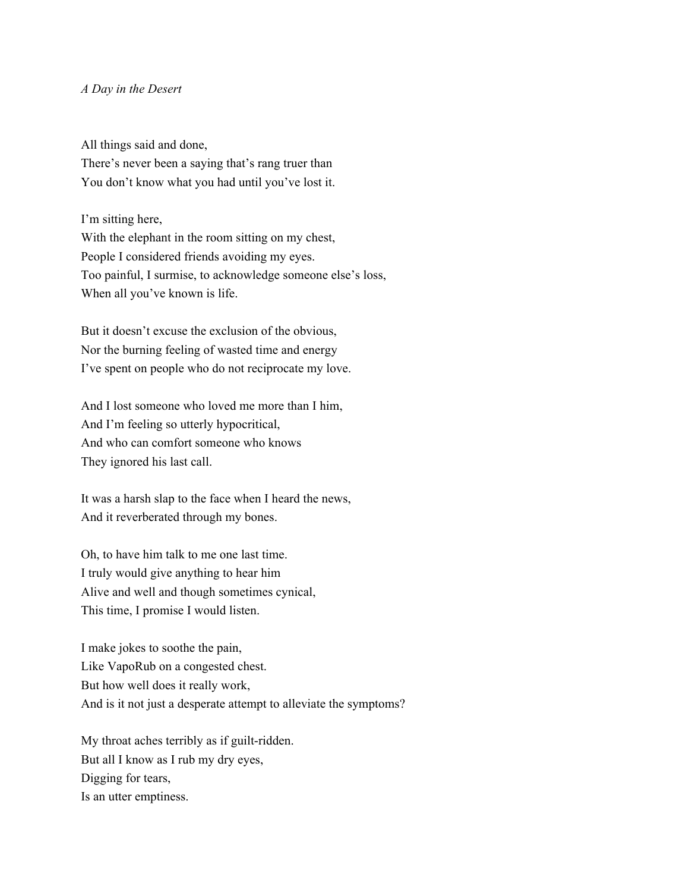## *A Day in the Desert*

All things said and done,

There's never been a saying that's rang truer than You don't know what you had until you've lost it.

I'm sitting here,

With the elephant in the room sitting on my chest, People I considered friends avoiding my eyes. Too painful, I surmise, to acknowledge someone else's loss, When all you've known is life.

But it doesn't excuse the exclusion of the obvious, Nor the burning feeling of wasted time and energy I've spent on people who do not reciprocate my love.

And I lost someone who loved me more than I him, And I'm feeling so utterly hypocritical, And who can comfort someone who knows They ignored his last call.

It was a harsh slap to the face when I heard the news, And it reverberated through my bones.

Oh, to have him talk to me one last time. I truly would give anything to hear him Alive and well and though sometimes cynical, This time, I promise I would listen.

I make jokes to soothe the pain, Like VapoRub on a congested chest. But how well does it really work, And is it not just a desperate attempt to alleviate the symptoms?

My throat aches terribly as if guilt-ridden. But all I know as I rub my dry eyes, Digging for tears, Is an utter emptiness.